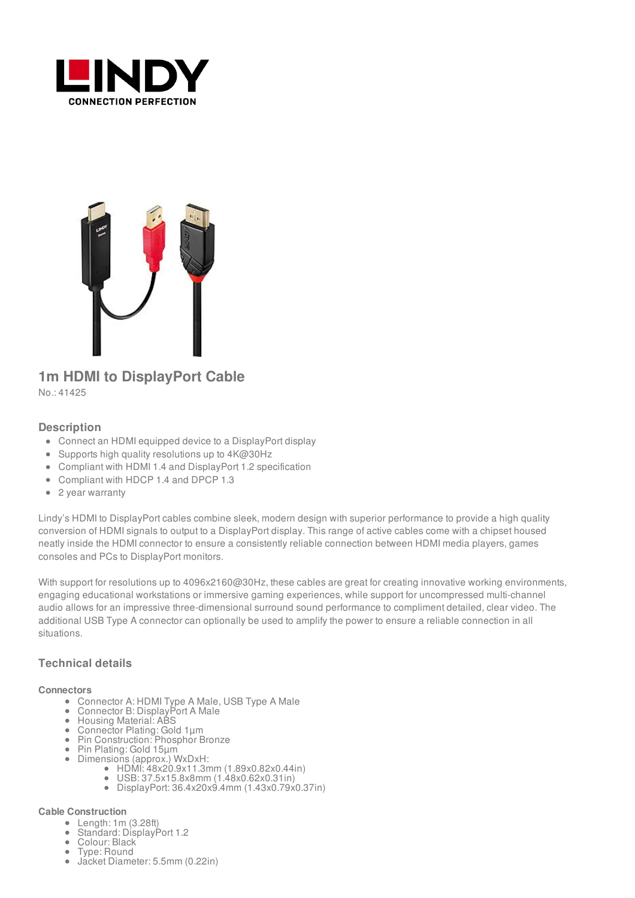



# **1m HDMI to DisplayPort Cable**

No.: 41425

### **Description**

- Connect an HDMI equipped device to a DisplayPort display
- Supports high quality resolutions up to 4K@30Hz
- Compliant with HDMI 1.4 and DisplayPort 1.2 specification
- Compliant with HDCP 1.4 and DPCP 1.3
- 2 year warranty

Lindy's HDMI to DisplayPort cables combine sleek, modern design with superior performance to provide a high quality conversion of HDMI signals to output to a DisplayPort display. This range of active cables come with a chipset housed neatly inside the HDMI connector to ensure a consistently reliable connection between HDMI media players, games consoles and PCs to DisplayPort monitors.

With support for resolutions up to 4096x2160@30Hz, these cables are great for creating innovative working environments, engaging educational workstations or immersive gaming experiences, while support for uncompressed multi-channel audio allows for an impressive three-dimensional surround sound performance to compliment detailed, clear video. The additional USB Type A connector can optionally be used to amplify the power to ensure a reliable connection in all situations.

## **Technical details**

#### **Connectors**

- Connector A: HDMI Type A Male, USB Type A Male
- Connector B: DisplayPort A Male
- Housing Material: ABS
- Connector Plating: Gold 1µm
- Pin Construction: Phosphor Bronze
- Pin Plating: Gold 15µm
- Dimensions (approx.) WxDxH:
	- HDMI: 48x20.9x11.3mm (1.89x0.82x0.44in)
	- USB: 37.5x15.8x8mm (1.48x0.62x0.31in)
	- DisplayPort: 36.4x20x9.4mm (1.43x0.79x0.37in)

#### **Cable Construction**

- Length: 1m (3.28ft)
- Standard: DisplayPort 1.2
- Colour: Black
- Type: Round
- Jacket Diameter: 5.5mm (0.22in)